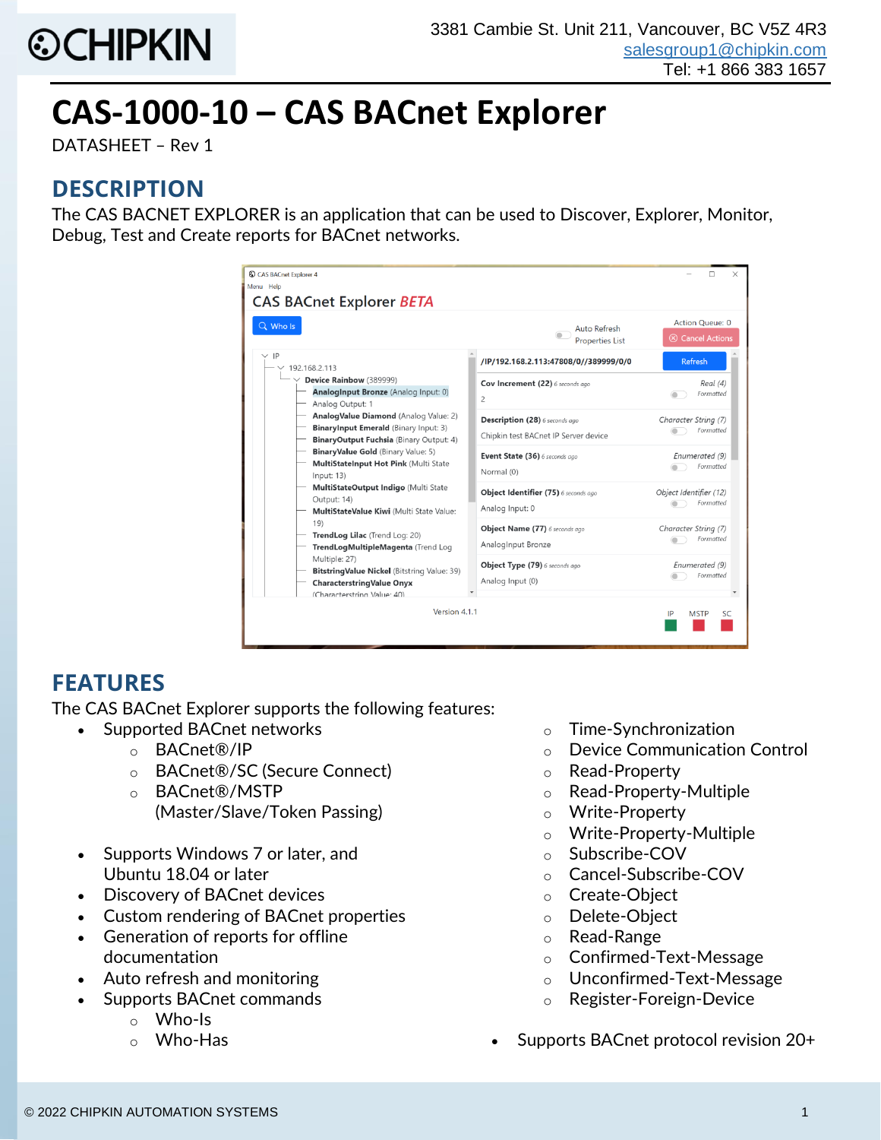

# **CAS-1000-10 – CAS BACnet Explorer**

DATASHEET – Rev 1

#### **DESCRIPTION**

The CAS BACNET EXPLORER is an application that can be used to Discover, Explorer, Monitor, Debug, Test and Create reports for BACnet networks.

| Q Who Is                                                                                                                                                                                                                                                                                                                                                                                                                                                                                                                                                                                                                                                                 | Auto Refresh<br><b>Properties List</b>                                 | Action Queue: 0<br><b>8</b> Cancel Actions |
|--------------------------------------------------------------------------------------------------------------------------------------------------------------------------------------------------------------------------------------------------------------------------------------------------------------------------------------------------------------------------------------------------------------------------------------------------------------------------------------------------------------------------------------------------------------------------------------------------------------------------------------------------------------------------|------------------------------------------------------------------------|--------------------------------------------|
| $\vee$ IP<br>192.168.2.113<br>$\vee$ Device Rainbow (389999)<br>AnalogInput Bronze (Analog Input: 0)<br>Analog Output: 1<br>AnalogValue Diamond (Analog Value: 2)<br>BinaryInput Emerald (Binary Input: 3)<br>BinaryOutput Fuchsia (Binary Output: 4)<br>BinaryValue Gold (Binary Value: 5)<br>MultiStateInput Hot Pink (Multi State<br>Input: 13)<br>MultiStateOutput Indigo (Multi State<br>Output: 14)<br>MultiStateValue Kiwi (Multi State Value:<br>19)<br>TrendLog Lilac (Trend Log: 20)<br>TrendLogMultipleMagenta (Trend Log<br>Multiple: 27)<br>Bitstring Value Nickel (Bitstring Value: 39)<br><b>CharacterstringValue Onyx</b><br>(Characterstring Value: 40) | /IP/192.168.2.113:47808/0//389999/0/0                                  | Refresh                                    |
|                                                                                                                                                                                                                                                                                                                                                                                                                                                                                                                                                                                                                                                                          | Cov Increment (22) 6 seconds ago<br>$\overline{c}$                     | Real (4)<br>Formatted                      |
|                                                                                                                                                                                                                                                                                                                                                                                                                                                                                                                                                                                                                                                                          | Description (28) 6 seconds ago<br>Chipkin test BACnet IP Server device | Character String (7)<br>Formatted          |
|                                                                                                                                                                                                                                                                                                                                                                                                                                                                                                                                                                                                                                                                          | Event State (36) 6 seconds ago<br>Normal (0)                           | Enumerated (9)<br>Formatted                |
|                                                                                                                                                                                                                                                                                                                                                                                                                                                                                                                                                                                                                                                                          | Object Identifier (75) 6 seconds ago<br>Analog Input: 0                | Object Identifier (12)<br>Formatted        |
|                                                                                                                                                                                                                                                                                                                                                                                                                                                                                                                                                                                                                                                                          | Object Name (77) 6 seconds ago<br>AnalogInput Bronze                   | Character String (7)<br>Formatted          |
|                                                                                                                                                                                                                                                                                                                                                                                                                                                                                                                                                                                                                                                                          | Object Type (79) 6 seconds ago<br>Analog Input (0)                     | Enumerated (9)<br>Formatted                |

## **FEATURES**

The CAS BACnet Explorer supports the following features:

- Supported BACnet networks
	- o BACnet®/IP
	- o BACnet®/SC (Secure Connect)
	- o BACnet®/MSTP
		- (Master/Slave/Token Passing)
- Supports Windows 7 or later, and Ubuntu 18.04 or later
- Discovery of BACnet devices
- Custom rendering of BACnet properties
- Generation of reports for offline documentation
- Auto refresh and monitoring
- Supports BACnet commands
	- o Who-Is
	- o Who-Has
- o Time-Synchronization
- o Device Communication Control
- o Read-Property
- o Read-Property-Multiple
- o Write-Property
- o Write-Property-Multiple
- o Subscribe-COV
- o Cancel-Subscribe-COV
- o Create-Object
- o Delete-Object
- o Read-Range
- o Confirmed-Text-Message
- o Unconfirmed-Text-Message
- o Register-Foreign-Device
- Supports BACnet protocol revision 20+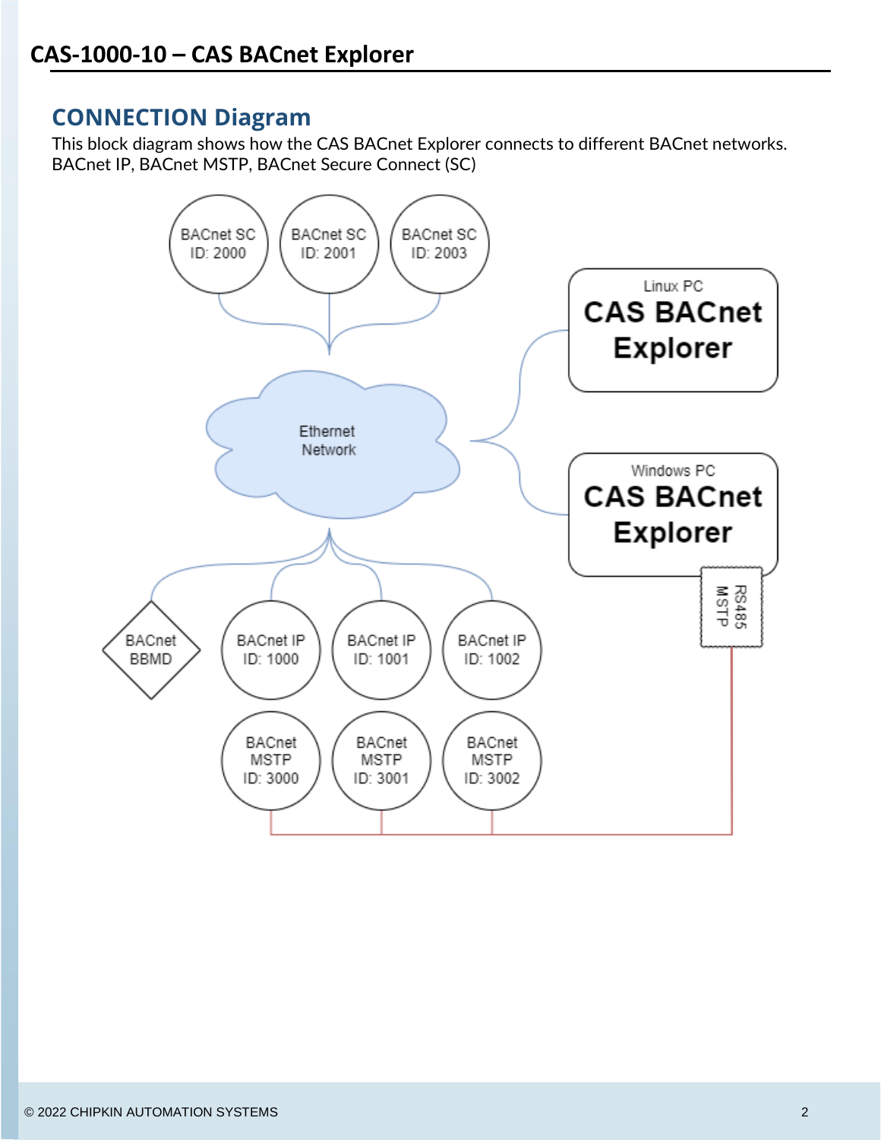### **CONNECTION Diagram**

This block diagram shows how the CAS BACnet Explorer connects to different BACnet networks. BACnet IP, BACnet MSTP, BACnet Secure Connect (SC)